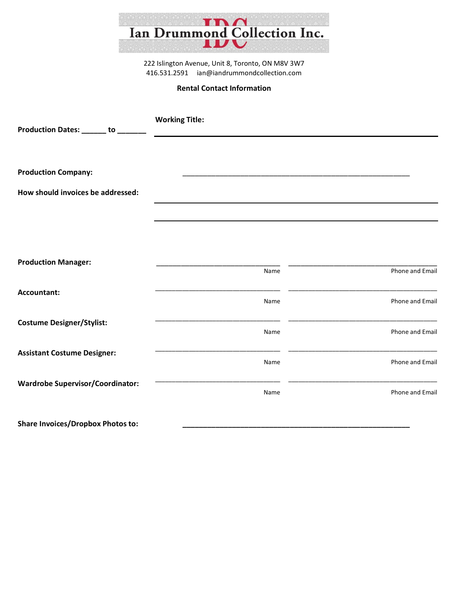

222 Islington Avenue, Unit 8, Toronto, ON M8V 3W7 416.531.2591 [ian@iandrummondcollection.com](mailto:ian@iandrummondcollection.com) 

## **Rental Contact Information**

| Production Dates: ______ to ______      | <b>Working Title:</b> |                                                      |
|-----------------------------------------|-----------------------|------------------------------------------------------|
|                                         |                       |                                                      |
| <b>Production Company:</b>              |                       | <u> 1989 - Johann John Stone, mars et al. (1989)</u> |
| How should invoices be addressed:       |                       |                                                      |
|                                         |                       |                                                      |
|                                         |                       |                                                      |
| <b>Production Manager:</b>              | Name                  | Phone and Email                                      |
| Accountant:                             | Name                  | Phone and Email                                      |
| <b>Costume Designer/Stylist:</b>        | Name                  | Phone and Email                                      |
| <b>Assistant Costume Designer:</b>      | ______<br>Name        | Phone and Email                                      |
| <b>Wardrobe Supervisor/Coordinator:</b> | Name                  | Phone and Email                                      |
|                                         |                       |                                                      |

Share Invoices/Dropbox Photos to: